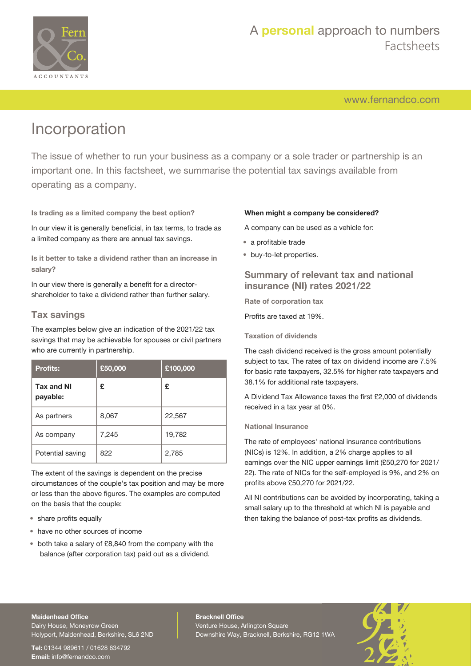

# A **personal** approach to numbers Factsheets

[www.fernandco.com](http://www.fernandco.com)

# Incorporation

The issue of whether to run your business as a company or a sole trader or partnership is an important one. In this factsheet, we summarise the potential tax savings available from operating as a company.

**Is trading as a limited company the best option?**

In our view it is generally beneficial, in tax terms, to trade as a limited company as there are annual tax savings.

**Is it better to take a dividend rather than an increase in salary?**

In our view there is generally a benefit for a directorshareholder to take a dividend rather than further salary.

## **Tax savings**

The examples below give an indication of the 2021/22 tax savings that may be achievable for spouses or civil partners who are currently in partnership.

| <b>Profits:</b>               | £50,000 | £100,000 |
|-------------------------------|---------|----------|
| <b>Tax and NI</b><br>payable: | £       | £        |
| As partners                   | 8,067   | 22,567   |
| As company                    | 7,245   | 19,782   |
| Potential saving              | 822     | 2,785    |

The extent of the savings is dependent on the precise circumstances of the couple's tax position and may be more or less than the above figures. The examples are computed on the basis that the couple:

- share profits equally
- have no other sources of income
- both take a salary of £8,840 from the company with the balance (after corporation tax) paid out as a dividend.

#### **When might a company be considered?**

A company can be used as a vehicle for:

- a profitable trade
- buy-to-let properties.

## **Summary of relevant tax and national insurance (NI) rates 2021/22**

**Rate of corporation tax**

Profits are taxed at 19%.

#### **Taxation of dividends**

The cash dividend received is the gross amount potentially subject to tax. The rates of tax on dividend income are 7.5% for basic rate taxpayers, 32.5% for higher rate taxpayers and 38.1% for additional rate taxpayers.

A Dividend Tax Allowance taxes the first £2,000 of dividends received in a tax year at 0%.

#### **National Insurance**

The rate of employees' national insurance contributions (NICs) is 12%. In addition, a 2% charge applies to all earnings over the NIC upper earnings limit (£50,270 for 2021/ 22). The rate of NICs for the self-employed is 9%, and 2% on profits above £50,270 for 2021/22.

All NI contributions can be avoided by incorporating, taking a small salary up to the threshold at which NI is payable and then taking the balance of post-tax profits as dividends.

#### **Maidenhead Office**

Dairy House, Moneyrow Green Holyport, Maidenhead, Berkshire, SL6 2ND

**Tel:** 01344 989611 / 01628 634792 **Email:** [info@fernandco.com](mailto:info@fernandco.com)

**Bracknell Office** Venture House, Arlington Square Downshire Way, Bracknell, Berkshire, RG12 1WA

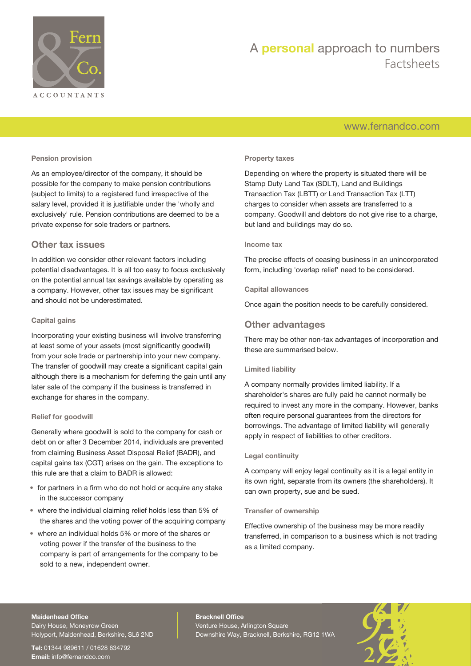

# A **personal** approach to numbers Factsheets

# [www.fernandco.com](http://www.fernandco.com)

#### **Pension provision**

As an employee/director of the company, it should be possible for the company to make pension contributions (subject to limits) to a registered fund irrespective of the salary level, provided it is justifiable under the 'wholly and exclusively' rule. Pension contributions are deemed to be a private expense for sole traders or partners.

### **Other tax issues**

In addition we consider other relevant factors including potential disadvantages. It is all too easy to focus exclusively on the potential annual tax savings available by operating as a company. However, other tax issues may be significant and should not be underestimated.

#### **Capital gains**

Incorporating your existing business will involve transferring at least some of your assets (most significantly goodwill) from your sole trade or partnership into your new company. The transfer of goodwill may create a significant capital gain although there is a mechanism for deferring the gain until any later sale of the company if the business is transferred in exchange for shares in the company.

#### **Relief for goodwill**

Generally where goodwill is sold to the company for cash or debt on or after 3 December 2014, individuals are prevented from claiming Business Asset Disposal Relief (BADR), and capital gains tax (CGT) arises on the gain. The exceptions to this rule are that a claim to BADR is allowed:

- for partners in a firm who do not hold or acquire any stake in the successor company
- where the individual claiming relief holds less than 5% of the shares and the voting power of the acquiring company
- where an individual holds 5% or more of the shares or voting power if the transfer of the business to the company is part of arrangements for the company to be sold to a new, independent owner.

#### **Property taxes**

Depending on where the property is situated there will be Stamp Duty Land Tax (SDLT), Land and Buildings Transaction Tax (LBTT) or Land Transaction Tax (LTT) charges to consider when assets are transferred to a company. Goodwill and debtors do not give rise to a charge, but land and buildings may do so.

#### **Income tax**

The precise effects of ceasing business in an unincorporated form, including 'overlap relief' need to be considered.

#### **Capital allowances**

Once again the position needs to be carefully considered.

## **Other advantages**

There may be other non-tax advantages of incorporation and these are summarised below.

#### **Limited liability**

A company normally provides limited liability. If a shareholder's shares are fully paid he cannot normally be required to invest any more in the company. However, banks often require personal guarantees from the directors for borrowings. The advantage of limited liability will generally apply in respect of liabilities to other creditors.

#### **Legal continuity**

A company will enjoy legal continuity as it is a legal entity in its own right, separate from its owners (the shareholders). It can own property, sue and be sued.

#### **Transfer of ownership**

Effective ownership of the business may be more readily transferred, in comparison to a business which is not trading as a limited company.

#### **Maidenhead Office**

Dairy House, Moneyrow Green Holyport, Maidenhead, Berkshire, SL6 2ND

**Tel:** 01344 989611 / 01628 634792 **Email:** [info@fernandco.com](mailto:info@fernandco.com)

**Bracknell Office** Venture House, Arlington Square Downshire Way, Bracknell, Berkshire, RG12 1WA